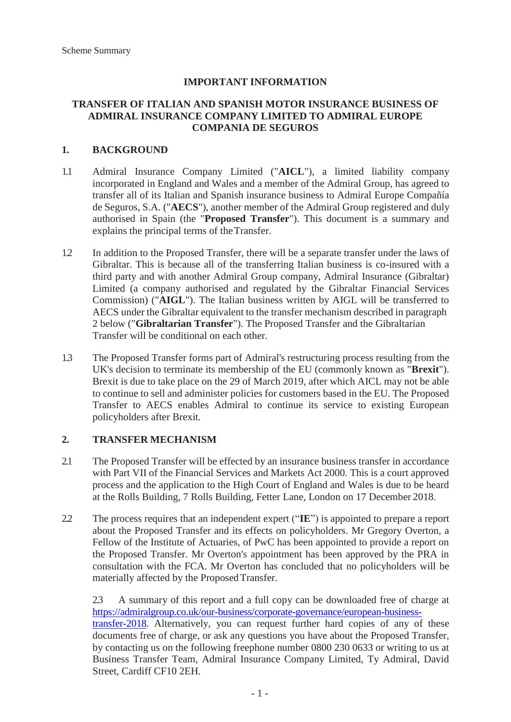### **IMPORTANT INFORMATION**

#### **TRANSFER OF ITALIAN AND SPANISH MOTOR INSURANCE BUSINESS OF ADMIRAL INSURANCE COMPANY LIMITED TO ADMIRAL EUROPE COMPANIA DE SEGUROS**

### **1. BACKGROUND**

- 1.1 Admiral Insurance Company Limited ("**AICL**"), a limited liability company incorporated in England and Wales and a member of the Admiral Group, has agreed to transfer all of its Italian and Spanish insurance business to Admiral Europe Compañía de Seguros, S.A. ("**AECS**"), another member of the Admiral Group registered and duly authorised in Spain (the "**Proposed Transfer**"). This document is a summary and explains the principal terms of theTransfer.
- 1.2 In addition to the Proposed Transfer, there will be a separate transfer under the laws of Gibraltar. This is because all of the transferring Italian business is co-insured with a third party and with another Admiral Group company, Admiral Insurance (Gibraltar) Limited (a company authorised and regulated by the Gibraltar Financial Services Commission) ("**AIGL**"). The Italian business written by AIGL will be transferred to AECS under the Gibraltar equivalent to the transfer mechanism described in paragraph 2 below ("**Gibraltarian Transfer**"). The Proposed Transfer and the Gibraltarian Transfer will be conditional on each other.
- 1.3 The Proposed Transfer forms part of Admiral's restructuring process resulting from the UK's decision to terminate its membership of the EU (commonly known as "**Brexit**"). Brexit is due to take place on the 29 of March 2019, after which AICL may not be able to continue to sell and administer policies for customers based in the EU. The Proposed Transfer to AECS enables Admiral to continue its service to existing European policyholders after Brexit.

#### **2. TRANSFER MECHANISM**

- 2.1 The Proposed Transfer will be effected by an insurance business transfer in accordance with Part VII of the Financial Services and Markets Act 2000. This is a court approved process and the application to the High Court of England and Wales is due to be heard at the Rolls Building, 7 Rolls Building, Fetter Lane, London on 17 December 2018.
- 2.2 The process requires that an independent expert ("**IE**") is appointed to prepare a report about the Proposed Transfer and its effects on policyholders. Mr Gregory Overton, a Fellow of the Institute of Actuaries, of PwC has been appointed to provide a report on the Proposed Transfer. Mr Overton's appointment has been approved by the PRA in consultation with the FCA. Mr Overton has concluded that no policyholders will be materially affected by the ProposedTransfer.

2.3 A summary of this report and a full copy can be downloaded free of charge at [https://admiralgroup.co.uk/our-business/corporate-governance/european-business](https://admiralgroup.co.uk/our-business/corporate-governance/european-business-transfer-2018)[transfer-2018.](https://admiralgroup.co.uk/our-business/corporate-governance/european-business-transfer-2018) Alternatively, you can request further hard copies of any of these

documents free of charge, or ask any questions you have about the Proposed Transfer, by contacting us on the following freephone number 0800 230 0633 or writing to us at Business Transfer Team, Admiral Insurance Company Limited, Ty Admiral, David Street, Cardiff CF10 2EH.